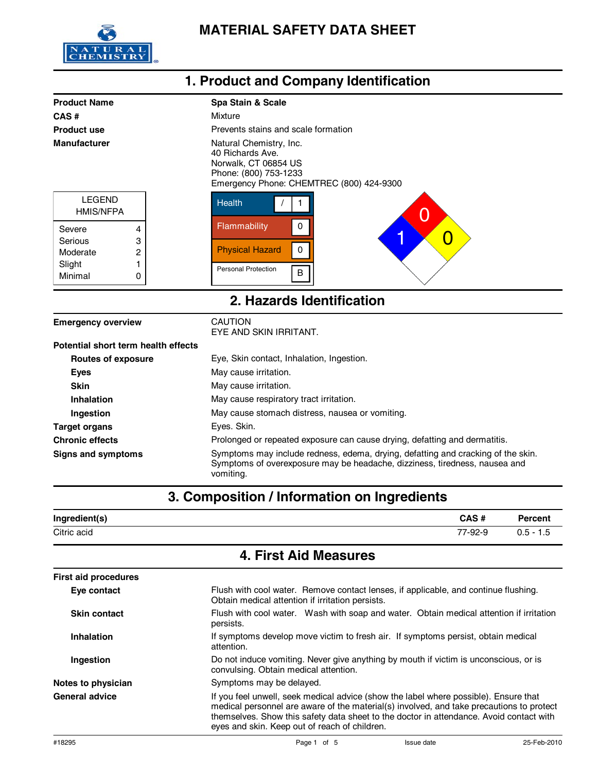

| 1. Product and Company Identification                                            |                  |                                                                                                                                                                                                                 |
|----------------------------------------------------------------------------------|------------------|-----------------------------------------------------------------------------------------------------------------------------------------------------------------------------------------------------------------|
| <b>Product Name</b><br>CAS#<br><b>Product use</b><br><b>Manufacturer</b>         |                  | Spa Stain & Scale<br>Mixture<br>Prevents stains and scale formation<br>Natural Chemistry, Inc.<br>40 Richards Ave.<br>Norwalk, CT 06854 US<br>Phone: (800) 753-1233<br>Emergency Phone: CHEMTREC (800) 424-9300 |
| <b>LEGEND</b><br>HMIS/NFPA<br>Severe<br>Serious<br>Moderate<br>Slight<br>Minimal | 4<br>3<br>2<br>0 | <b>Health</b><br>Flammability<br>0<br><b>Physical Hazard</b><br>0<br><b>Personal Protection</b><br>B                                                                                                            |
| 2. Hazards Identification                                                        |                  |                                                                                                                                                                                                                 |

| <b>Emergency overview</b>           | <b>CAUTION</b><br>EYE AND SKIN IRRITANT.                                                                                                                                    |
|-------------------------------------|-----------------------------------------------------------------------------------------------------------------------------------------------------------------------------|
| Potential short term health effects |                                                                                                                                                                             |
| Routes of exposure                  | Eye, Skin contact, Inhalation, Ingestion.                                                                                                                                   |
| <b>Eyes</b>                         | May cause irritation.                                                                                                                                                       |
| <b>Skin</b>                         | May cause irritation.                                                                                                                                                       |
| Inhalation                          | May cause respiratory tract irritation.                                                                                                                                     |
| Ingestion                           | May cause stomach distress, nausea or vomiting.                                                                                                                             |
| <b>Target organs</b>                | Eyes. Skin.                                                                                                                                                                 |
| <b>Chronic effects</b>              | Prolonged or repeated exposure can cause drying, defatting and dermatitis.                                                                                                  |
| <b>Signs and symptoms</b>           | Symptoms may include redness, edema, drying, defatting and cracking of the skin.<br>Symptoms of overexposure may be headache, dizziness, tiredness, nausea and<br>vomiting. |

# **3. Composition / Information on Ingredients**

| Ingredient(s) | CAS#    | Percent |
|---------------|---------|---------|
| Citric acid   | 77-92-9 | U.O     |
| .             |         | ، ا     |

#### **4. First Aid Measures**

| <b>First aid procedures</b> |                                                                                                                                                                                                                                                                                                                              |  |
|-----------------------------|------------------------------------------------------------------------------------------------------------------------------------------------------------------------------------------------------------------------------------------------------------------------------------------------------------------------------|--|
| Eye contact                 | Flush with cool water. Remove contact lenses, if applicable, and continue flushing.<br>Obtain medical attention if irritation persists.                                                                                                                                                                                      |  |
| <b>Skin contact</b>         | Flush with cool water. Wash with soap and water. Obtain medical attention if irritation<br>persists.                                                                                                                                                                                                                         |  |
| Inhalation                  | If symptoms develop move victim to fresh air. If symptoms persist, obtain medical<br>attention.                                                                                                                                                                                                                              |  |
| Ingestion                   | Do not induce vomiting. Never give anything by mouth if victim is unconscious, or is<br>convulsing. Obtain medical attention.                                                                                                                                                                                                |  |
| Notes to physician          | Symptoms may be delayed.                                                                                                                                                                                                                                                                                                     |  |
| <b>General advice</b>       | If you feel unwell, seek medical advice (show the label where possible). Ensure that<br>medical personnel are aware of the material(s) involved, and take precautions to protect<br>themselves. Show this safety data sheet to the doctor in attendance. Avoid contact with<br>eyes and skin. Keep out of reach of children. |  |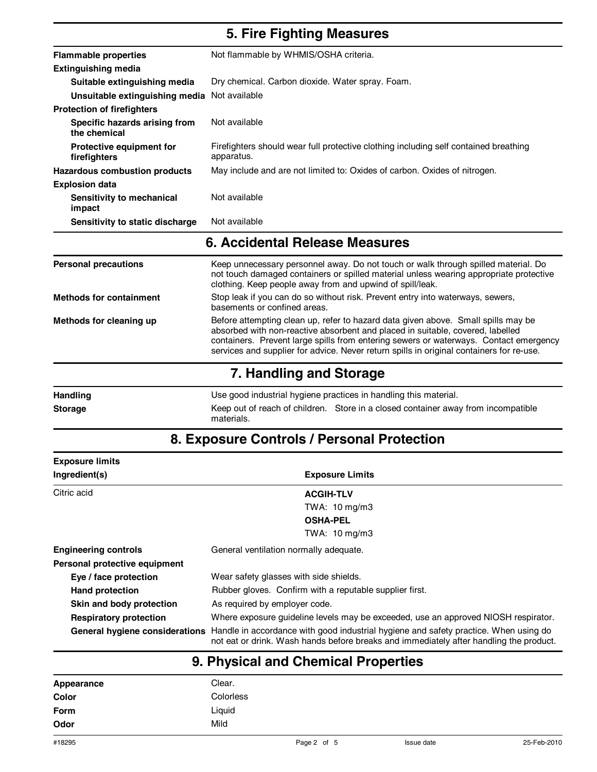#### **5. Fire Fighting Measures**

| <b>Flammable properties</b>                     | Not flammable by WHMIS/OSHA criteria.                                                              |
|-------------------------------------------------|----------------------------------------------------------------------------------------------------|
| <b>Extinguishing media</b>                      |                                                                                                    |
| Suitable extinguishing media                    | Dry chemical. Carbon dioxide. Water spray. Foam.                                                   |
| Unsuitable extinguishing media                  | Not available                                                                                      |
| <b>Protection of firefighters</b>               |                                                                                                    |
| Specific hazards arising from<br>the chemical   | Not available                                                                                      |
| <b>Protective equipment for</b><br>firefighters | Firefighters should wear full protective clothing including self contained breathing<br>apparatus. |
| <b>Hazardous combustion products</b>            | May include and are not limited to: Oxides of carbon. Oxides of nitrogen.                          |
| <b>Explosion data</b>                           |                                                                                                    |
| Sensitivity to mechanical<br>impact             | Not available                                                                                      |
| Sensitivity to static discharge                 | Not available                                                                                      |
|                                                 |                                                                                                    |

| 6. Accidental Release Measures |  |
|--------------------------------|--|
|--------------------------------|--|

| 7. Handling and Storage        |                                                                                                                                                                                                                                                                                                                                                          |
|--------------------------------|----------------------------------------------------------------------------------------------------------------------------------------------------------------------------------------------------------------------------------------------------------------------------------------------------------------------------------------------------------|
| Methods for cleaning up        | Before attempting clean up, refer to hazard data given above. Small spills may be<br>absorbed with non-reactive absorbent and placed in suitable, covered, labelled<br>containers. Prevent large spills from entering sewers or waterways. Contact emergency<br>services and supplier for advice. Never return spills in original containers for re-use. |
| <b>Methods for containment</b> | Stop leak if you can do so without risk. Prevent entry into waterways, sewers,<br>basements or confined areas.                                                                                                                                                                                                                                           |
| <b>Personal precautions</b>    | Keep unnecessary personnel away. Do not touch or walk through spilled material. Do<br>not touch damaged containers or spilled material unless wearing appropriate protective<br>clothing. Keep people away from and upwind of spill/leak.                                                                                                                |

| <b>Handling</b> |            | Use good industrial hygiene practices in handling this material.                  |
|-----------------|------------|-----------------------------------------------------------------------------------|
| <b>Storage</b>  | materials. | Keep out of reach of children. Store in a closed container away from incompatible |

## **8. Exposure Controls / Personal Protection**

| <b>Exposure limits</b>         |                                                                                                                                                                                |
|--------------------------------|--------------------------------------------------------------------------------------------------------------------------------------------------------------------------------|
| Ingredient(s)                  | <b>Exposure Limits</b>                                                                                                                                                         |
| Citric acid                    | <b>ACGIH-TLV</b>                                                                                                                                                               |
|                                | TWA: 10 mg/m3                                                                                                                                                                  |
|                                | <b>OSHA-PEL</b>                                                                                                                                                                |
|                                | TWA: 10 mg/m3                                                                                                                                                                  |
| <b>Engineering controls</b>    | General ventilation normally adequate.                                                                                                                                         |
| Personal protective equipment  |                                                                                                                                                                                |
| Eye / face protection          | Wear safety glasses with side shields.                                                                                                                                         |
| <b>Hand protection</b>         | Rubber gloves. Confirm with a reputable supplier first.                                                                                                                        |
| Skin and body protection       | As required by employer code.                                                                                                                                                  |
| <b>Respiratory protection</b>  | Where exposure guideline levels may be exceeded, use an approved NIOSH respirator.                                                                                             |
| General hygiene considerations | Handle in accordance with good industrial hygiene and safety practice. When using do<br>not eat or drink. Wash hands before breaks and immediately after handling the product. |

## **9. Physical and Chemical Properties**

| Appearance | Clear.    |
|------------|-----------|
| Color      | Colorless |
| Form       | Liquid    |
| Odor       | Mild      |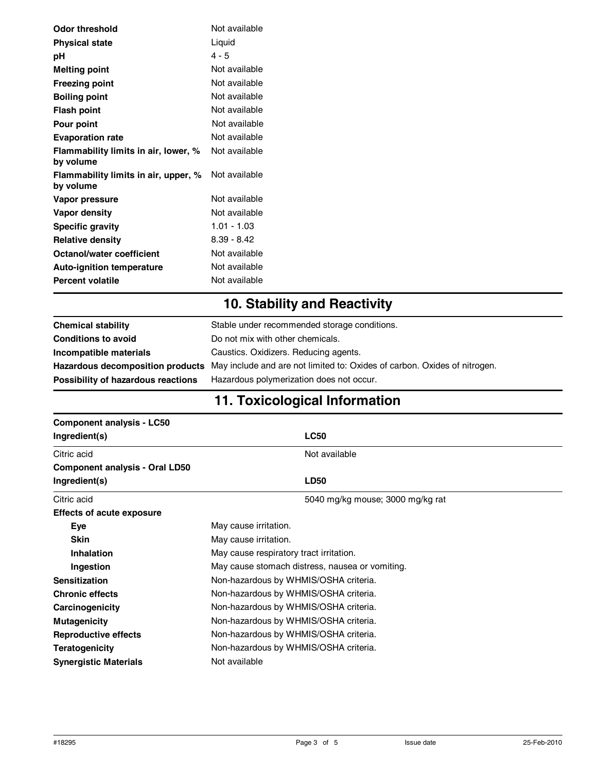| Odor threshold                                    | Not available |
|---------------------------------------------------|---------------|
| <b>Physical state</b>                             | Liquid        |
| рH                                                | $4 - 5$       |
| <b>Melting point</b>                              | Not available |
| <b>Freezing point</b>                             | Not available |
| <b>Boiling point</b>                              | Not available |
| <b>Flash point</b>                                | Not available |
| Pour point                                        | Not available |
| <b>Evaporation rate</b>                           | Not available |
| Flammability limits in air, lower, %<br>by volume | Not available |
| Flammability limits in air, upper, %<br>by volume | Not available |
| Vapor pressure                                    | Not available |
| Vapor density                                     | Not available |
| <b>Specific gravity</b>                           | $1.01 - 1.03$ |
| <b>Relative density</b>                           | $8.39 - 8.42$ |
| Octanol/water coefficient                         | Not available |
| Auto-ignition temperature                         | Not available |
| <b>Percent volatile</b>                           | Not available |

# **10. Stability and Reactivity**

| <b>Chemical stability</b>          | Stable under recommended storage conditions.                                                               |
|------------------------------------|------------------------------------------------------------------------------------------------------------|
| <b>Conditions to avoid</b>         | Do not mix with other chemicals.                                                                           |
| Incompatible materials             | Caustics. Oxidizers. Reducing agents.                                                                      |
|                                    | Hazardous decomposition products May include and are not limited to: Oxides of carbon. Oxides of nitrogen. |
| Possibility of hazardous reactions | Hazardous polymerization does not occur.                                                                   |

# **11. Toxicological Information**

| <b>Component analysis - LC50</b>      |                                                 |
|---------------------------------------|-------------------------------------------------|
| Ingredient(s)                         | <b>LC50</b>                                     |
| Citric acid                           | Not available                                   |
| <b>Component analysis - Oral LD50</b> |                                                 |
| Ingredient(s)                         | <b>LD50</b>                                     |
| Citric acid                           | 5040 mg/kg mouse; 3000 mg/kg rat                |
| <b>Effects of acute exposure</b>      |                                                 |
| <b>Eye</b>                            | May cause irritation.                           |
| <b>Skin</b>                           | May cause irritation.                           |
| Inhalation                            | May cause respiratory tract irritation.         |
| Ingestion                             | May cause stomach distress, nausea or vomiting. |
| <b>Sensitization</b>                  | Non-hazardous by WHMIS/OSHA criteria.           |
| <b>Chronic effects</b>                | Non-hazardous by WHMIS/OSHA criteria.           |
| Carcinogenicity                       | Non-hazardous by WHMIS/OSHA criteria.           |
| <b>Mutagenicity</b>                   | Non-hazardous by WHMIS/OSHA criteria.           |
| <b>Reproductive effects</b>           | Non-hazardous by WHMIS/OSHA criteria.           |
| <b>Teratogenicity</b>                 | Non-hazardous by WHMIS/OSHA criteria.           |
| <b>Synergistic Materials</b>          | Not available                                   |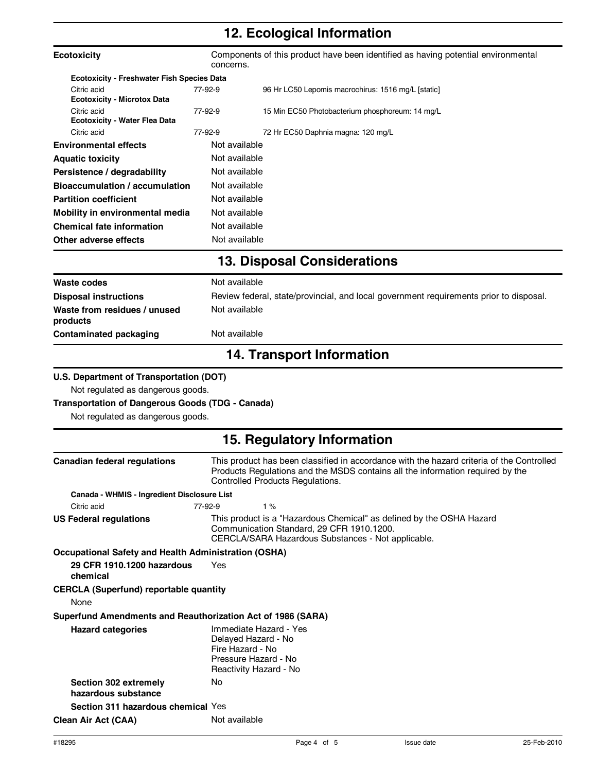### **12. Ecological Information**

| <b>Ecotoxicity</b>                                          | Components of this product have been identified as having potential environmental<br>concerns. |                                                                                                                    |  |
|-------------------------------------------------------------|------------------------------------------------------------------------------------------------|--------------------------------------------------------------------------------------------------------------------|--|
| <b>Ecotoxicity - Freshwater Fish Species Data</b>           |                                                                                                |                                                                                                                    |  |
| Citric acid<br><b>Ecotoxicity - Microtox Data</b>           | 77-92-9                                                                                        | 96 Hr LC50 Lepomis macrochirus: 1516 mg/L [static]                                                                 |  |
| Citric acid<br><b>Ecotoxicity - Water Flea Data</b>         | 77-92-9                                                                                        | 15 Min EC50 Photobacterium phosphoreum: 14 mg/L                                                                    |  |
| Citric acid                                                 | 77-92-9                                                                                        | 72 Hr EC50 Daphnia magna: 120 mg/L                                                                                 |  |
| <b>Environmental effects</b>                                | Not available                                                                                  |                                                                                                                    |  |
| <b>Aquatic toxicity</b>                                     | Not available                                                                                  |                                                                                                                    |  |
| Persistence / degradability                                 | Not available                                                                                  |                                                                                                                    |  |
| <b>Bioaccumulation / accumulation</b>                       | Not available                                                                                  |                                                                                                                    |  |
| <b>Partition coefficient</b>                                | Not available                                                                                  |                                                                                                                    |  |
| Mobility in environmental media                             | Not available                                                                                  |                                                                                                                    |  |
| <b>Chemical fate information</b>                            | Not available                                                                                  |                                                                                                                    |  |
| Other adverse effects                                       | Not available                                                                                  |                                                                                                                    |  |
|                                                             |                                                                                                | <b>13. Disposal Considerations</b>                                                                                 |  |
| <b>Waste codes</b>                                          | Not available                                                                                  |                                                                                                                    |  |
| <b>Disposal instructions</b>                                |                                                                                                | Review federal, state/provincial, and local government requirements prior to disposal.                             |  |
| Waste from residues / unused<br>products                    | Not available                                                                                  |                                                                                                                    |  |
| <b>Contaminated packaging</b>                               | Not available                                                                                  |                                                                                                                    |  |
|                                                             |                                                                                                | <b>14. Transport Information</b>                                                                                   |  |
| U.S. Department of Transportation (DOT)                     |                                                                                                |                                                                                                                    |  |
| Not regulated as dangerous goods.                           |                                                                                                |                                                                                                                    |  |
| <b>Transportation of Dangerous Goods (TDG - Canada)</b>     |                                                                                                |                                                                                                                    |  |
| Not regulated as dangerous goods.                           |                                                                                                |                                                                                                                    |  |
|                                                             |                                                                                                | 15. Regulatory Information                                                                                         |  |
| <b>Canadian federal regulations</b>                         |                                                                                                | This product has been classified in accordance with the hazard criteria of the Controlled                          |  |
|                                                             |                                                                                                | Products Regulations and the MSDS contains all the information required by the<br>Controlled Products Regulations. |  |
| Canada - WHMIS - Ingredient Disclosure List                 |                                                                                                |                                                                                                                    |  |
| Citric acid                                                 | 77-92-9                                                                                        | 1%                                                                                                                 |  |
| <b>US Federal regulations</b>                               |                                                                                                | This product is a "Hazardous Chemical" as defined by the OSHA Hazard                                               |  |
|                                                             |                                                                                                | Communication Standard, 29 CFR 1910.1200.<br>CERCLA/SARA Hazardous Substances - Not applicable.                    |  |
| <b>Occupational Safety and Health Administration (OSHA)</b> |                                                                                                |                                                                                                                    |  |
| 29 CFR 1910.1200 hazardous<br>chemical                      | Yes                                                                                            |                                                                                                                    |  |
| <b>CERCLA (Superfund) reportable quantity</b><br>None       |                                                                                                |                                                                                                                    |  |
| Superfund Amendments and Reauthorization Act of 1986 (SARA) |                                                                                                |                                                                                                                    |  |
| <b>Hazard categories</b>                                    |                                                                                                | Immediate Hazard - Yes                                                                                             |  |
|                                                             |                                                                                                | Delayed Hazard - No                                                                                                |  |
|                                                             |                                                                                                | Fire Hazard - No                                                                                                   |  |
|                                                             |                                                                                                | Pressure Hazard - No<br>Reactivity Hazard - No                                                                     |  |
| Section 302 extremely<br>hazardous substance                | No                                                                                             |                                                                                                                    |  |
| Section 311 hazardous chemical Yes                          |                                                                                                |                                                                                                                    |  |
| <b>Clean Air Act (CAA)</b>                                  | Not available                                                                                  |                                                                                                                    |  |
|                                                             |                                                                                                |                                                                                                                    |  |